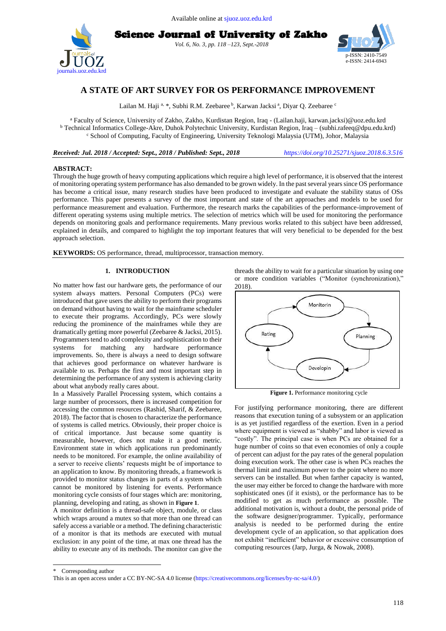





# **A STATE OF ART SURVEY FOR OS PERFORMANCE IMPROVEMENT**

Lailan M. Haji <sup>a,</sup> \*, Subhi R.M. Zeebaree <sup>b</sup>, Karwan Jacksi <sup>a</sup>, Diyar Q. Zeebaree <sup>c</sup>

<sup>a</sup> Faculty of Science, University of Zakho, Zakho, Kurdistan Region, Iraq - (Lailan.haji, karwan.jacksi)@uoz.edu.krd <sup>b</sup> Technical Informatics College-Akre, Duhok Polytechnic University, Kurdistan Region, Iraq – (subhi.rafeeq@dpu.edu.krd) <sup>c</sup> School of Computing, Faculty of Engineering, University Teknologi Malaysia (UTM), Johor, Malaysia

*Received: Jul. 2018 / Accepted: Sept., 2018 / Published: Sept., 2018 <https://doi.org/10.25271/sjuoz.2018.6.3.516>*

# **ABSTRACT:**

Through the huge growth of heavy computing applications which require a high level of performance, it is observed that the interest of monitoring operating system performance has also demanded to be grown widely. In the past several years since OS performance has become a critical issue, many research studies have been produced to investigate and evaluate the stability status of OSs performance. This paper presents a survey of the most important and state of the art approaches and models to be used for performance measurement and evaluation. Furthermore, the research marks the capabilities of the performance-improvement of different operating systems using multiple metrics. The selection of metrics which will be used for monitoring the performance depends on monitoring goals and performance requirements. Many previous works related to this subject have been addressed, explained in details, and compared to highlight the top important features that will very beneficial to be depended for the best approach selection.

**KEYWORDS:** OS performance, thread, multiprocessor, transaction memory.

## **1. INTRODUCTION**

No matter how fast our hardware gets, the performance of our system always matters. Personal Computers (PCs) were introduced that gave users the ability to perform their programs on demand without having to wait for the mainframe scheduler to execute their programs. Accordingly, PCs were slowly reducing the prominence of the mainframes while they are dramatically getting more powerful (Zeebaree & Jacksi, 2015). Programmers tend to add complexity and sophistication to their systems for matching any hardware performance improvements. So, there is always a need to design software that achieves good performance on whatever hardware is available to us. Perhaps the first and most important step in determining the performance of any system is achieving clarity about what anybody really cares about.

In a Massively Parallel Processing system, which contains a large number of processors, there is increased competition for accessing the common resources (Rashid, Sharif, & Zeebaree, 2018). The factor that is chosen to characterize the performance of systems is called metrics. Obviously, their proper choice is of critical importance. Just because some quantity is measurable, however, does not make it a good metric. Environment state in which applications run predominantly needs to be monitored. For example, the online availability of a server to receive clients' requests might be of importance to an application to know. By monitoring threads, a framework is provided to monitor status changes in parts of a system which cannot be monitored by listening for events. Performance monitoring cycle consists of four stages which are: monitoring, planning, developing and rating, as shown in **[Figure 1](#page-0-0)**.

A monitor definition is a thread-safe object, module, or class which wraps around a mutex so that more than one thread can safely access a variable or a method. The defining characteristic of a monitor is that its methods are executed with mutual exclusion: in any point of the time, at max one thread has the ability to execute any of its methods. The monitor can give the

threads the ability to wait for a particular situation by using one or more condition variables ("Monitor (synchronization)," 2018).



**Figure 1.** Performance monitoring cycle

<span id="page-0-0"></span>For justifying performance monitoring, there are different reasons that execution tuning of a subsystem or an application is as yet justified regardless of the exertion. Even in a period where equipment is viewed as "shabby" and labor is viewed as "costly". The principal case is when PCs are obtained for a huge number of coins so that even economies of only a couple of percent can adjust for the pay rates of the general population doing execution work. The other case is when PCs reaches the thermal limit and maximum power to the point where no more servers can be installed. But when farther capacity is wanted, the user may either be forced to change the hardware with more sophisticated ones (if it exists), or the performance has to be modified to get as much performance as possible. The additional motivation is, without a doubt, the personal pride of the software designer/programmer. Typically, performance analysis is needed to be performed during the entire development cycle of an application, so that application does not exhibit "inefficient" behavior or excessive consumption of computing resources (Jarp, Jurga, & Nowak, 2008).

 $\overline{a}$ 

Corresponding author

This is an open access under a CC BY-NC-SA 4.0 license [\(https://creativecommons.org/licenses/by-nc-sa/4.0/\)](https://creativecommons.org/licenses/by-nc-sa/4.0/)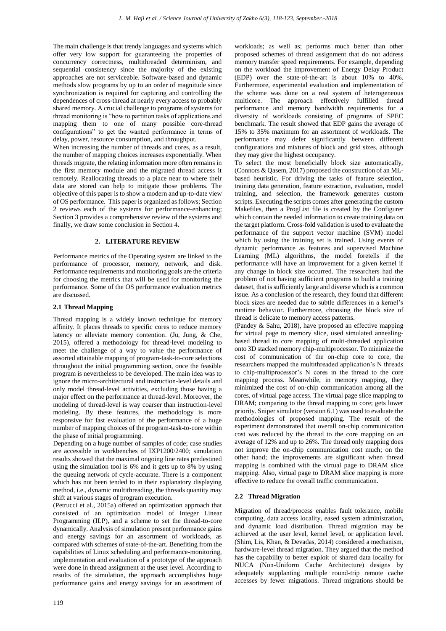The main challenge is that trendy languages and systems which offer very low support for guaranteeing the properties of concurrency correctness, multithreaded determinism, and sequential consistency since the majority of the existing approaches are not serviceable. Software-based and dynamic methods slow programs by up to an order of magnitude since synchronization is required for capturing and controlling the dependences of cross-thread at nearly every access to probably shared memory. A crucial challenge to programs of systems for thread monitoring is "how to partition tasks of applications and mapping them to one of many possible core-thread configurations" to get the wanted performance in terms of delay, power, resource consumption, and throughput.

When increasing the number of threads and cores, as a result, the number of mapping choices increases exponentially. When threads migrate, the relating information more often remains in the first memory module and the migrated thread access it remotely. Reallocating threads to a place near to where their data are stored can help to mitigate those problems. The objective of this paper is to show a modern and up-to-date view of OS performance. This paper is organized as follows; Section 2 reviews each of the systems for performance-enhancing; Section 3 provides a comprehensive review of the systems and finally, we draw some conclusion in Section 4.

# **2. LITERATURE REVIEW**

Performance metrics of the Operating system are linked to the performance of processor, memory, network, and disk. Performance requirements and monitoring goals are the criteria for choosing the metrics that will be used for monitoring the performance. Some of the OS performance evaluation metrics are discussed.

# **2.1 Thread Mapping**

Thread mapping is a widely known technique for memory affinity. It places threads to specific cores to reduce memory latency or alleviate memory contention. (Ju, Jung, & Che, 2015), offered a methodology for thread-level modeling to meet the challenge of a way to value the performance of assorted attainable mapping of program-task-to-core selections throughout the initial programming section, once the feasible program is nevertheless to be developed. The main idea was to ignore the micro-architectural and instruction-level details and only model thread-level activities, excluding those having a major effect on the performance at thread-level. Moreover, the modeling of thread-level is way coarser than instruction-level modeling. By these features, the methodology is more responsive for fast evaluation of the performance of a huge number of mapping choices of the program-task-to-core within the phase of initial programming.

Depending on a huge number of samples of code; case studies are accessible in workbenches of IXP1200/2400; simulation results showed that the maximal ongoing line rates predestined using the simulation tool is 6% and it gets up to 8% by using the queuing network of cycle-accurate. There is a component which has not been tended to in their explanatory displaying method, i.e., dynamic multithreading, the threads quantity may shift at various stages of program execution.

(Petrucci et al., 2015a) offered an optimization approach that consisted of an optimization model of Integer Linear Programming (ILP), and a scheme to set the thread-to-core dynamically. Analysis of simulation present performance gains and energy savings for an assortment of workloads, as compared with schemes of state-of-the-art. Benefiting from the capabilities of Linux scheduling and performance-monitoring, implementation and evaluation of a prototype of the approach were done in thread assignment at the user level. According to results of the simulation, the approach accomplishes huge performance gains and energy savings for an assortment of

workloads; as well as; performs much better than other proposed schemes of thread assignment that do not address memory transfer speed requirements. For example, depending on the workload the improvement of Energy Delay Product (EDP) over the state-of-the-art is about 10% to 40%. Furthermore, experimental evaluation and implementation of the scheme was done on a real system of heterogeneous multicore. The approach effectively fulfilled thread performance and memory bandwidth requirements for a diversity of workloads consisting of programs of SPEC benchmark. The result showed that EDP gains the average of 15% to 35% maximum for an assortment of workloads. The performance may defer significantly between different configurations and mixtures of block and grid sizes, although they may give the highest occupancy.

To select the most beneficially block size automatically, (Connors & Qasem, 2017) proposed the construction of an MLbased heuristic. For driving the tasks of feature selection, training data generation, feature extraction, evaluation, model training, and selection, the framework generates custom scripts. Executing the scripts comes after generating the custom Makefiles, then a ProgList file is created by the Configurer which contain the needed information to create training data on the target platform. Cross-fold validation is used to evaluate the performance of the support vector machine (SVM) model which by using the training set is trained. Using events of dynamic performance as features and supervised Machine Learning (ML) algorithms, the model foretells if the performance will have an improvement for a given kernel if any change in block size occurred. The researchers had the problem of not having sufficient programs to build a training dataset, that is sufficiently large and diverse which is a common issue. As a conclusion of the research, they found that different block sizes are needed due to subtle differences in a kernel's runtime behavior. Furthermore, choosing the block size of thread is delicate to memory access patterns.

(Pandey & Sahu, 2018), have proposed an effective mapping for virtual page to memory slice, used simulated annealingbased thread to core mapping of multi-threaded application onto 3D stacked memory chip-multiprocessor. To minimize the cost of communication of the on-chip core to core, the researchers mapped the multithreaded application's N threads to chip-multiprocessor's N cores in the thread to the core mapping process. Meanwhile, in memory mapping, they minimized the cost of on-chip communication among all the cores, of virtual page access. The virtual page slice mapping to DRAM; comparing to the thread mapping to core; gets lower priority. Sniper simulator (version 6.1) was used to evaluate the methodologies of proposed mapping. The result of the experiment demonstrated that overall on-chip communication cost was reduced by the thread to the core mapping on an average of 12% and up to 26%. The thread only mapping does not improve the on-chip communication cost much; on the other hand; the improvements are significant when thread mapping is combined with the virtual page to DRAM slice mapping. Also, virtual page to DRAM slice mapping is more effective to reduce the overall traffic communication.

# **2.2 Thread Migration**

Migration of thread/process enables fault tolerance, mobile computing, data access locality, eased system administration, and dynamic load distribution. Thread migration may be achieved at the user level, kernel level, or application level. (Shim, Lis, Khan, & Devadas, 2014) considered a mechanism, hardware-level thread migration. They argued that the method has the capability to better exploit of shared data locality for NUCA (Non-Uniform Cache Architecture) designs by adequately supplanting multiple round-trip remote cache accesses by fewer migrations. Thread migrations should be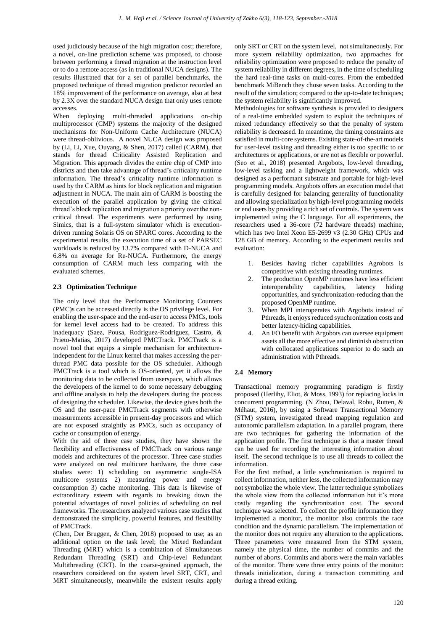used judiciously because of the high migration cost; therefore, a novel, on-line prediction scheme was proposed, to choose between performing a thread migration at the instruction level or to do a remote access (as in traditional NUCA designs). The results illustrated that for a set of parallel benchmarks, the proposed technique of thread migration predictor recorded an 18% improvement of the performance on average, also at best by 2.3X over the standard NUCA design that only uses remote accesses.

When deploying multi-threaded applications on-chip multiprocessor (CMP) systems the majority of the designed mechanisms for Non-Uniform Cache Architecture (NUCA) were thread-oblivious. A novel NUCA design was proposed by (Li, Li, Xue, Ouyang, & Shen, 2017) called (CARM), that stands for thread Criticality Assisted Replication and Migration. This approach divides the entire chip of CMP into districts and then take advantage of thread's criticality runtime information. The thread's criticality runtime information is used by the CARM as hints for block replication and migration adjustment in NUCA. The main aim of CARM is boosting the execution of the parallel application by giving the critical thread's block replication and migration a priority over the noncritical thread. The experiments were performed by using Simics, that is a full-system simulator which is executiondriven running Solaris OS on SPARC cores. According to the experimental results, the execution time of a set of PARSEC workloads is reduced by 13.7% compared with D-NUCA and 6.8% on average for Re-NUCA. Furthermore, the energy consumption of CARM much less comparing with the evaluated schemes.

#### **2.3 Optimization Technique**

The only level that the Performance Monitoring Counters (PMC)s can be accessed directly is the OS privilege level. For enabling the user-space and the end-user to access PMCs, tools for kernel level access had to be created. To address this inadequacy (Saez, Pousa, Rodriguez-Rodriguez, Castro, & Prieto-Matias, 2017) developed PMCTrack. PMCTrack is a novel tool that equips a simple mechanism for architectureindependent for the Linux kernel that makes accessing the perthread PMC data possible for the OS scheduler. Although PMCTrack is a tool which is OS-oriented, yet it allows the monitoring data to be collected from userspace, which allows the developers of the kernel to do some necessary debugging and offline analysis to help the developers during the process of designing the scheduler. Likewise, the device gives both the OS and the user-pace PMCTrack segments with otherwise measurements accessible in present-day processors and which are not exposed straightly as PMCs, such as occupancy of cache or consumption of energy.

With the aid of three case studies, they have shown the flexibility and effectiveness of PMCTrack on various range models and architectures of the processor. Three case studies were analyzed on real multicore hardware, the three case studies were: 1) scheduling on asymmetric single-ISA multicore systems 2) measuring power and energy consumption 3) cache monitoring. This data is likewise of extraordinary esteem with regards to breaking down the potential advantages of novel policies of scheduling on real frameworks. The researchers analyzed various case studies that demonstrated the simplicity, powerful features, and flexibility of PMCTrack.

(Chen, Der Bruggen, & Chen, 2018) proposed to use; as an additional option on the task level; the Mixed Redundant Threading (MRT) which is a combination of Simultaneous Redundant Threading (SRT) and Chip-level Redundant Multithreading (CRT). In the coarse-grained approach, the researchers considered on the system level SRT, CRT, and MRT simultaneously, meanwhile the existent results apply

only SRT or CRT on the system level, not simultaneously. For more system reliability optimization, two approaches for reliability optimization were proposed to reduce the penalty of system reliability in different degrees, in the time of scheduling the hard real-time tasks on multi-cores. From the embedded benchmark MiBench they chose seven tasks. According to the result of the simulation; compared to the up-to-date techniques; the system reliability is significantly improved.

Methodologies for software synthesis is provided to designers of a real-time embedded system to exploit the techniques of mixed redundancy effectively so that the penalty of system reliability is decreased. In meantime, the timing constraints are satisfied in multi-core systems. Existing state-of-the-art models for user-level tasking and threading either is too specific to or architectures or applications, or are not as flexible or powerful. (Seo et al., 2018) presented Argobots, low-level threading, low-level tasking and a lightweight framework, which was designed as a performant substrate and portable for high-level programming models. Argobots offers an execution model that is carefully designed for balancing generality of functionality and allowing specialization by high-level programming models or end users by providing a rich set of controls. The system was implemented using the C language. For all experiments, the researchers used a 36-core (72 hardware threads) machine, which has two Intel Xeon E5-2699 v3 (2.30 GHz) CPUs and 128 GB of memory. According to the experiment results and evaluation:

- 1. Besides having richer capabilities Agrobots is competitive with existing threading runtimes.
- 2. The production OpenMP runtimes have less efficient interoperability capabilities, latency hiding opportunities, and synchronization-reducing than the proposed OpenMP runtime.
- 3. When MPI interoperates with Argobots instead of Pthreads, it enjoys reduced synchronization costs and better latency-hiding capabilities.
- 4. An I/O benefit with Argobots can oversee equipment assets all the more effective and diminish obstruction with collocated applications superior to do such an administration with Pthreads.

## **2.4 Memory**

Transactional memory programming paradigm is firstly proposed (Herlihy, Eliot, & Moss, 1993) for replacing locks in concurrent programming. (N Zhou, Delaval, Robu, Rutten, & Méhaut, 2016), by using a Software Transactional Memory (STM) system, investigated thread mapping regulation and autonomic parallelism adaptation. In a parallel program, there are two techniques for gathering the information of the application profile. The first technique is that a master thread can be used for recording the interesting information about itself. The second technique is to use all threads to collect the information.

For the first method, a little synchronization is required to collect information, neither less, the collected information may not symbolize the whole view. The latter technique symbolizes the whole view from the collected information but it's more costly regarding the synchronization cost. The second technique was selected. To collect the profile information they implemented a monitor, the monitor also controls the race condition and the dynamic parallelism. The implementation of the monitor does not require any alteration to the applications. Three parameters were measured from the STM system, namely the physical time, the number of commits and the number of aborts. Commits and aborts were the main variables of the monitor. There were three entry points of the monitor: threads initialization, during a transaction committing and during a thread exiting.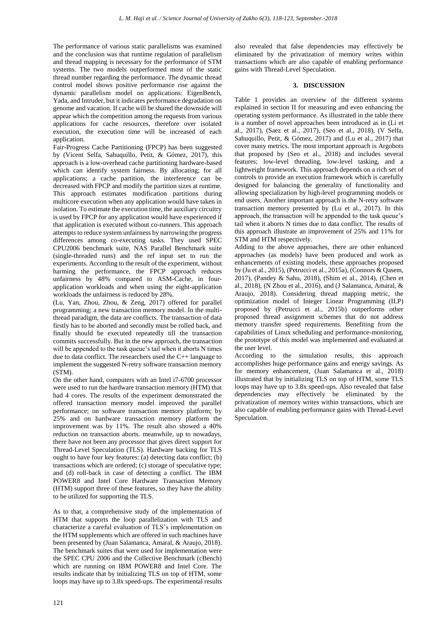The performance of various static parallelisms was examined and the conclusion was that runtime regulation of parallelism and thread mapping is necessary for the performance of STM systems. The two models outperformed most of the static thread number regarding the performance. The dynamic thread control model shows positive performance rise against the dynamic parallelism model on applications: EigenBench, Yada, and Intruder, but it indicates performance degradation on genome and vacation. If cache will be shared the downside will appear which the competition among the requests from various applications for cache resources, therefore over isolated execution, the execution time will be increased of each application.

Fair-Progress Cache Partitioning (FPCP) has been suggested by (Vicent Selfa, Sahuquillo, Petit, & Gómez, 2017), this approach is a low-overhead cache partitioning hardware-based which can identify system fairness. By allocating; for all applications; a cache partition, the interference can be decreased with FPCP and modify the partition sizes at runtime. This approach estimates modification partitions during multicore execution when any application would have taken in isolation. To estimate the execution time, the auxiliary circuitry is used by FPCP for any application would have experienced if that application is executed without co-runners. This approach attempts to reduce system unfairness by narrowing the progress differences among co-executing tasks. They used SPEC CPU2006 benchmark suite, NAS Parallel Benchmark suite (single-threaded runs) and the ref input set to run the experiments. According to the result of the experiment, without harming the performance, the FPCP approach reduces unfairness by 48% compared to ASM-Cache, in fourapplication workloads and when using the eight-application workloads the unfairness is reduced by 28%.

(Lu, Yan, Zhou, Zhou, & Zeng, 2017) offered for parallel programming; a new transaction memory model. In the multithread paradigm, the data are conflicts. The transaction of data firstly has to be aborted and secondly must be rolled back, and finally should be executed repeatedly till the transaction commits successfully. But in the new approach, the transaction will be appended to the task queue's tail when it aborts N times due to data conflict. The researchers used the C++ language to implement the suggested N-retry software transaction memory (STM).

On the other hand, computers with an Intel i7-6700 processor were used to run the hardware transaction memory (HTM) that had 4 cores. The results of the experiment demonstrated the offered transaction memory model improved the parallel performance; on software transaction memory platform; by 25% and on hardware transaction memory platform the improvement was by 11%. The result also showed a 40% reduction on transaction aborts. meanwhile, up to nowadays, there have not been any processor that gives direct support for Thread-Level Speculation (TLS). Hardware backing for TLS ought to have four key features: (a) detecting data conflict; (b) transactions which are ordered; (c) storage of speculative type; and (d) roll-back in case of detecting a conflict. The IBM POWER8 and Intel Core Hardware Transaction Memory (HTM) support three of these features, so they have the ability to be utilized for supporting the TLS.

As to that, a comprehensive study of the implementation of HTM that supports the loop parallelization with TLS and characterize a careful evaluation of TLS's implementation on the HTM supplements which are offered in such machines have been presented by (Juan Salamanca, Amaral, & Araujo, 2018). The benchmark suites that were used for implementation were the SPEC CPU 2006 and the Collective Benchmark (cBench) which are running on IBM POWER8 and Intel Core. The results indicate that by initializing TLS on top of HTM, some loops may have up to 3.8x speed-ups. The experimental results

also revealed that false dependencies may effectively be eliminated by the privatization of memory writes within transactions which are also capable of enabling performance gains with Thread-Level Speculation.

# **3. DISCUSSION**

Table 1 provides an overview of the different systems explained in section II for measuring and even enhancing the operating system performance. As illustrated in the table there is a number of novel approaches been introduced as in (Li et al., 2017), (Saez et al., 2017), (Seo et al., 2018), (V Selfa, Sahuquillo, Petit, & Gómez, 2017) and (Lu et al., 2017) that cover many metrics. The most important approach is Argobots that proposed by (Seo et al., 2018) and includes several features; low-level threading, low-level tasking, and a lightweight framework. This approach depends on a rich set of controls to provide an execution framework which is carefully designed for balancing the generality of functionality and allowing specialization by high-level programming models or end users. Another important approach is the N-retry software transaction memory presented by (Lu et al., 2017). In this approach, the transaction will be appended to the task queue's tail when it aborts N times due to data conflict. The results of this approach illustrate an improvement of 25% and 11% for STM and HTM respectively.

Adding to the above approaches, there are other enhanced approaches (as models) have been produced and work as enhancements of existing models, these approaches proposed by (Ju et al., 2015), (Petrucci et al., 2015a), (Connors & Qasem, 2017), (Pandey & Sahu, 2018), (Shim et al., 2014), (Chen et al., 2018), (N Zhou et al., 2016), and (J Salamanca, Amaral, & Araujo, 2018). Considering thread mapping metric, the optimization model of Integer Linear Programming (ILP) proposed by (Petrucci et al., 2015b) outperforms other proposed thread assignment schemes that do not address memory transfer speed requirements. Benefiting from the capabilities of Linux scheduling and performance-monitoring, the prototype of this model was implemented and evaluated at the user level.

According to the simulation results, this approach accomplishes huge performance gains and energy savings. As for memory enhancement, (Juan Salamanca et al., 2018) illustrated that by initializing TLS on top of HTM, some TLS loops may have up to 3.8x speed-ups. Also revealed that false dependencies may effectively be eliminated by the privatization of memory writes within transactions, which are also capable of enabling performance gains with Thread-Level Speculation.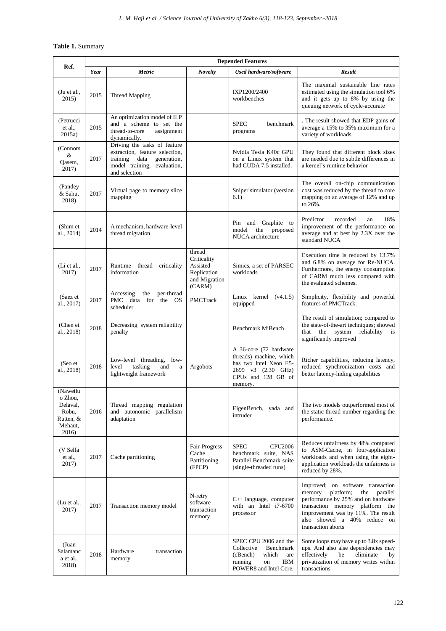# **Table 1.** Summary

| Ref.                                                                      | <b>Depended Features</b> |                                                                                                                                                   |                                                                             |                                                                                                                                    |                                                                                                                                                                                                                                                 |
|---------------------------------------------------------------------------|--------------------------|---------------------------------------------------------------------------------------------------------------------------------------------------|-----------------------------------------------------------------------------|------------------------------------------------------------------------------------------------------------------------------------|-------------------------------------------------------------------------------------------------------------------------------------------------------------------------------------------------------------------------------------------------|
|                                                                           | Year                     | <b>Metric</b>                                                                                                                                     | <b>Novelty</b>                                                              | Used hardware/software                                                                                                             | <b>Result</b>                                                                                                                                                                                                                                   |
| $($ Ju et al.,<br>2015)                                                   | 2015                     | <b>Thread Mapping</b>                                                                                                                             |                                                                             | IXP1200/2400<br>workbenches                                                                                                        | The maximal sustainable line rates<br>estimated using the simulation tool 6%<br>and it gets up to 8% by using the<br>queuing network of cycle-accurate                                                                                          |
| (Petrucci<br>et al.,<br>2015a)                                            | 2015                     | An optimization model of ILP<br>and a scheme to set the<br>thread-to-core<br>assignment<br>dynamically.                                           |                                                                             | <b>SPEC</b><br>benchmark<br>programs                                                                                               | . The result showed that EDP gains of<br>average a 15% to 35% maximum for a<br>variety of workloads                                                                                                                                             |
| (Connors<br>&<br>Qasem,<br>2017)                                          | 2017                     | Driving the tasks of feature<br>extraction, feature selection,<br>training<br>data<br>generation,<br>model training, evaluation,<br>and selection |                                                                             | Nvidia Tesla K40c GPU<br>on a Linux system that<br>had CUDA 7.5 installed.                                                         | They found that different block sizes<br>are needed due to subtle differences in<br>a kernel's runtime behavior                                                                                                                                 |
| (Pandey)<br>& Sahu,<br>2018)                                              | 2017                     | Virtual page to memory slice<br>mapping                                                                                                           |                                                                             | Sniper simulator (version<br>6.1)                                                                                                  | The overall on-chip communication<br>cost was reduced by the thread to core<br>mapping on an average of 12% and up<br>to 26%.                                                                                                                   |
| (Shim et<br>al., 2014)                                                    | 2014                     | A mechanism, hardware-level<br>thread migration                                                                                                   |                                                                             | Pin and Graphite to<br>model<br>proposed<br>the<br>NUCA architecture                                                               | 18%<br>Predictor<br>recorded<br>an<br>improvement of the performance on<br>average and at best by 2.3X over the<br>standard NUCA                                                                                                                |
| (Li et al.,<br>2017)                                                      | 2017                     | Runtime thread criticality<br>information                                                                                                         | thread<br>Criticality<br>Assisted<br>Replication<br>and Migration<br>(CARM) | Simics, a set of PARSEC<br>workloads                                                                                               | Execution time is reduced by 13.7%<br>and 6.8% on average for Re-NUCA.<br>Furthermore, the energy consumption<br>of CARM much less compared with<br>the evaluated schemes.                                                                      |
| (Saez et<br>al., 2017)                                                    | 2017                     | Accessing<br>the<br>per-thread<br>PMC data for the OS<br>scheduler                                                                                | <b>PMCTrack</b>                                                             | Linux kernel $(v4.1.5)$<br>equipped                                                                                                | Simplicity, flexibility and powerful<br>features of PMCTrack.                                                                                                                                                                                   |
| (Chen et<br>al., 2018)                                                    | 2018                     | Decreasing system reliability<br>penalty                                                                                                          |                                                                             | Benchmark MiBench                                                                                                                  | The result of simulation; compared to<br>the state-of-the-art techniques; showed<br>reliability<br>that the<br>system<br>is<br>significantly improved                                                                                           |
| (Seo et<br>al., 2018)                                                     | 2018                     | Low-level threading, low-<br>level<br>tasking<br>and<br>a<br>lightweight framework                                                                | Argobots                                                                    | A 36-core (72 hardware<br>threads) machine, which<br>has two Intel Xeon E5-<br>2699 v3 (2.30 GHz)<br>CPUs and 128 GB of<br>memory. | Richer capabilities, reducing latency,<br>reduced synchronization costs and<br>better latency-hiding capabilities                                                                                                                               |
| (Naweilu<br>o Zhou,<br>Delaval,<br>Robu,<br>Rutten, &<br>Mehaut,<br>2016) | 2016                     | Thread mapping regulation<br>and autonomic parallelism<br>adaptation                                                                              |                                                                             | EigenBench, yada and<br>intruder                                                                                                   | The two models outperformed most of<br>the static thread number regarding the<br>performance.                                                                                                                                                   |
| (V Selfa<br>et al.,<br>2017)                                              | 2017                     | Cache partitioning                                                                                                                                | Fair-Progress<br>Cache<br>Partitioning<br>(FPCP)                            | <b>SPEC</b><br><b>CPU2006</b><br>benchmark suite, NAS<br>Parallel Benchmark suite<br>(single-threaded runs)                        | Reduces unfairness by 48% compared<br>to ASM-Cache, in four-application<br>workloads and when using the eight-<br>application workloads the unfairness is<br>reduced by 28%.                                                                    |
| (Lu et al.,<br>2017)                                                      | 2017                     | Transaction memory model                                                                                                                          | N-retry<br>software<br>transaction<br>memory                                | $C++$ language, computer<br>with an Intel i7-6700<br>processor                                                                     | Improved; on software transaction<br>platform;<br>memory<br>the<br>parallel<br>performance by 25% and on hardware<br>transaction memory platform the<br>improvement was by 11%. The result<br>also showed a 40% reduce on<br>transaction aborts |
| (Juan<br>Salamanc<br>a et al.,<br>2018)                                   | 2018                     | Hardware<br>transaction<br>memory                                                                                                                 |                                                                             | SPEC CPU 2006 and the<br>Collective<br>Benchmark<br>(cBench)<br>which<br>are<br>running<br>IBM<br>on<br>POWER8 and Intel Core.     | Some loops may have up to 3.8x speed-<br>ups. And also alse dependencies may<br>eliminate<br>effectively<br>be<br>by<br>privatization of memory writes within<br>transactions                                                                   |